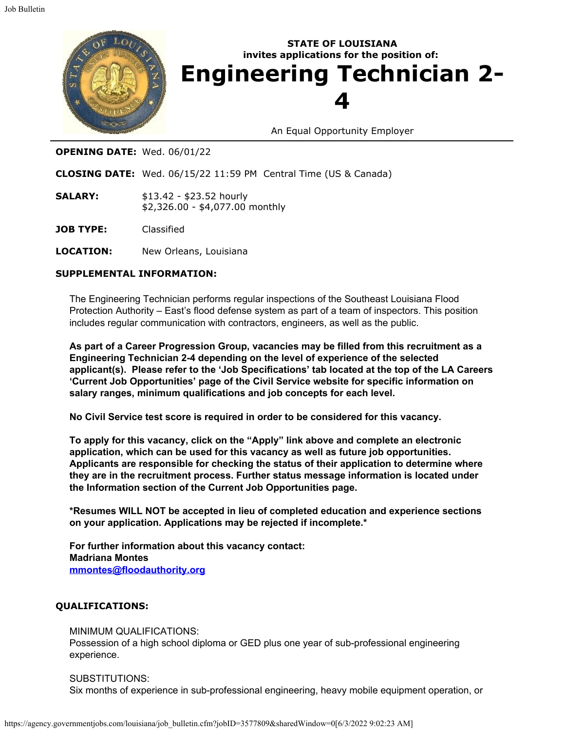

## **OPENING DATE:** Wed. 06/01/22

**CLOSING DATE:** Wed. 06/15/22 11:59 PM Central Time (US & Canada)

- **SALARY:** \$13.42 \$23.52 hourly \$2,326.00 - \$4,077.00 monthly
- **JOB TYPE:** Classified
- **LOCATION:** New Orleans, Louisiana

## **SUPPLEMENTAL INFORMATION:**

The Engineering Technician performs regular inspections of the Southeast Louisiana Flood Protection Authority – East's flood defense system as part of a team of inspectors. This position includes regular communication with contractors, engineers, as well as the public.

**As part of a Career Progression Group, vacancies may be filled from this recruitment as a Engineering Technician 2-4 depending on the level of experience of the selected applicant(s). Please refer to the 'Job Specifications' tab located at the top of the LA Careers 'Current Job Opportunities' page of the Civil Service website for specific information on salary ranges, minimum qualifications and job concepts for each level.**

**No Civil Service test score is required in order to be considered for this vacancy.** 

**To apply for this vacancy, click on the "Apply" link above and complete an electronic application, which can be used for this vacancy as well as future job opportunities. Applicants are responsible for checking the status of their application to determine where they are in the recruitment process. Further status message information is located under the Information section of the Current Job Opportunities page.**

**\*Resumes WILL NOT be accepted in lieu of completed education and experience sections on your application. Applications may be rejected if incomplete.\***

**For further information about this vacancy contact: Madriana Montes [mmontes@floodauthority.org](mailto:mmontes@floodauthority.org)**

### **QUALIFICATIONS:**

MINIMUM QUALIFICATIONS:

Possession of a high school diploma or GED plus one year of sub-professional engineering experience.

SUBSTITUTIONS: Six months of experience in sub-professional engineering, heavy mobile equipment operation, or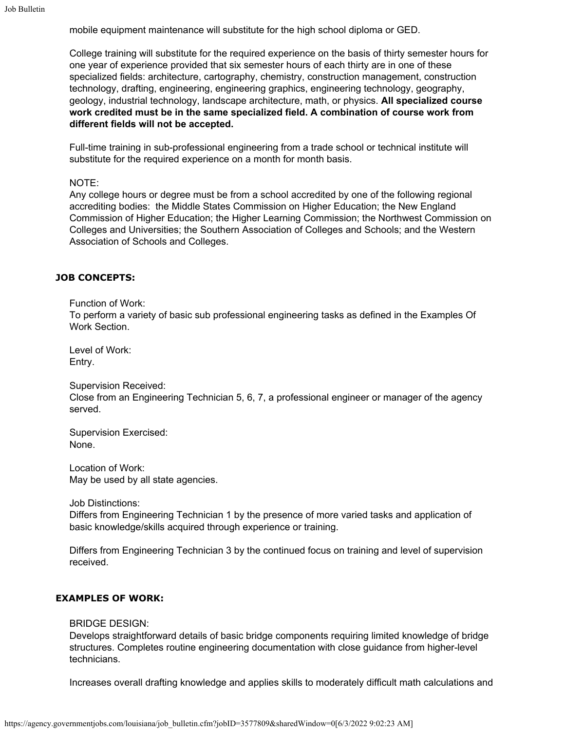mobile equipment maintenance will substitute for the high school diploma or GED.

College training will substitute for the required experience on the basis of thirty semester hours for one year of experience provided that six semester hours of each thirty are in one of these specialized fields: architecture, cartography, chemistry, construction management, construction technology, drafting, engineering, engineering graphics, engineering technology, geography, geology, industrial technology, landscape architecture, math, or physics. **All specialized course work credited must be in the same specialized field. A combination of course work from different fields will not be accepted.**

Full-time training in sub-professional engineering from a trade school or technical institute will substitute for the required experience on a month for month basis.

## NOTE:

Any college hours or degree must be from a school accredited by one of the following regional accrediting bodies: the Middle States Commission on Higher Education; the New England Commission of Higher Education; the Higher Learning Commission; the Northwest Commission on Colleges and Universities; the Southern Association of Colleges and Schools; and the Western Association of Schools and Colleges.

## **JOB CONCEPTS:**

Function of Work:

To perform a variety of basic sub professional engineering tasks as defined in the Examples Of Work Section.

Level of Work: Entry.

Supervision Received:

Close from an Engineering Technician 5, 6, 7, a professional engineer or manager of the agency served.

Supervision Exercised: None.

Location of Work: May be used by all state agencies.

Job Distinctions:

Differs from Engineering Technician 1 by the presence of more varied tasks and application of basic knowledge/skills acquired through experience or training.

Differs from Engineering Technician 3 by the continued focus on training and level of supervision received.

# **EXAMPLES OF WORK:**

### BRIDGE DESIGN:

Develops straightforward details of basic bridge components requiring limited knowledge of bridge structures. Completes routine engineering documentation with close guidance from higher-level technicians.

Increases overall drafting knowledge and applies skills to moderately difficult math calculations and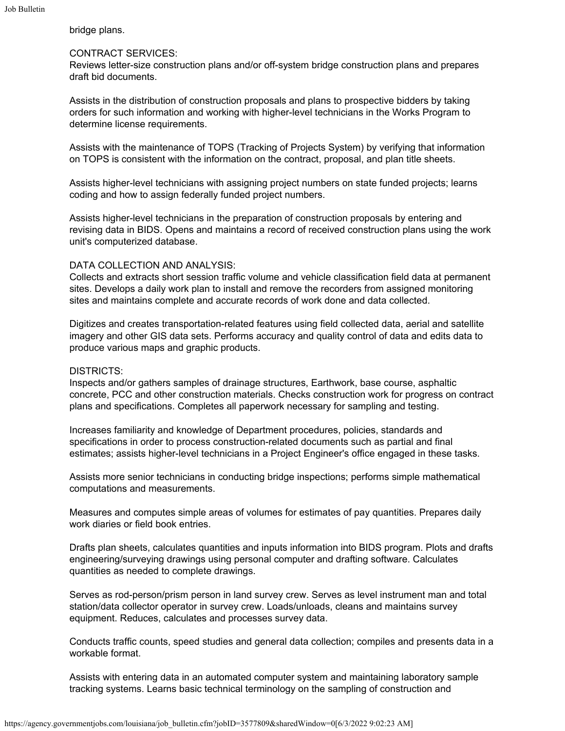bridge plans.

# CONTRACT SERVICES:

Reviews letter-size construction plans and/or off-system bridge construction plans and prepares draft bid documents.

Assists in the distribution of construction proposals and plans to prospective bidders by taking orders for such information and working with higher-level technicians in the Works Program to determine license requirements.

Assists with the maintenance of TOPS (Tracking of Projects System) by verifying that information on TOPS is consistent with the information on the contract, proposal, and plan title sheets.

Assists higher-level technicians with assigning project numbers on state funded projects; learns coding and how to assign federally funded project numbers.

Assists higher-level technicians in the preparation of construction proposals by entering and revising data in BIDS. Opens and maintains a record of received construction plans using the work unit's computerized database.

# DATA COLLECTION AND ANALYSIS:

Collects and extracts short session traffic volume and vehicle classification field data at permanent sites. Develops a daily work plan to install and remove the recorders from assigned monitoring sites and maintains complete and accurate records of work done and data collected.

Digitizes and creates transportation-related features using field collected data, aerial and satellite imagery and other GIS data sets. Performs accuracy and quality control of data and edits data to produce various maps and graphic products.

# DISTRICTS:

Inspects and/or gathers samples of drainage structures, Earthwork, base course, asphaltic concrete, PCC and other construction materials. Checks construction work for progress on contract plans and specifications. Completes all paperwork necessary for sampling and testing.

Increases familiarity and knowledge of Department procedures, policies, standards and specifications in order to process construction-related documents such as partial and final estimates; assists higher-level technicians in a Project Engineer's office engaged in these tasks.

Assists more senior technicians in conducting bridge inspections; performs simple mathematical computations and measurements.

Measures and computes simple areas of volumes for estimates of pay quantities. Prepares daily work diaries or field book entries.

Drafts plan sheets, calculates quantities and inputs information into BIDS program. Plots and drafts engineering/surveying drawings using personal computer and drafting software. Calculates quantities as needed to complete drawings.

Serves as rod-person/prism person in land survey crew. Serves as level instrument man and total station/data collector operator in survey crew. Loads/unloads, cleans and maintains survey equipment. Reduces, calculates and processes survey data.

Conducts traffic counts, speed studies and general data collection; compiles and presents data in a workable format.

Assists with entering data in an automated computer system and maintaining laboratory sample tracking systems. Learns basic technical terminology on the sampling of construction and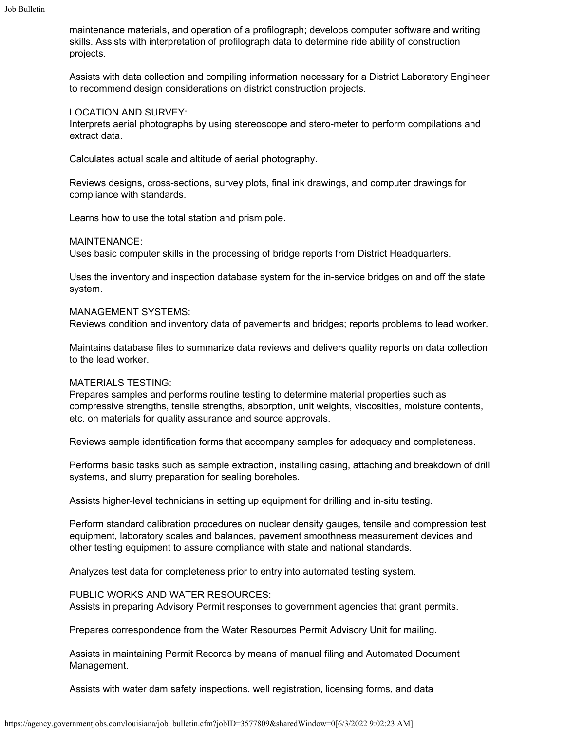maintenance materials, and operation of a profilograph; develops computer software and writing skills. Assists with interpretation of profilograph data to determine ride ability of construction projects.

Assists with data collection and compiling information necessary for a District Laboratory Engineer to recommend design considerations on district construction projects.

### LOCATION AND SURVEY:

Interprets aerial photographs by using stereoscope and stero-meter to perform compilations and extract data.

Calculates actual scale and altitude of aerial photography.

Reviews designs, cross-sections, survey plots, final ink drawings, and computer drawings for compliance with standards.

Learns how to use the total station and prism pole.

### MAINTENANCE:

Uses basic computer skills in the processing of bridge reports from District Headquarters.

Uses the inventory and inspection database system for the in-service bridges on and off the state system.

## MANAGEMENT SYSTEMS:

Reviews condition and inventory data of pavements and bridges; reports problems to lead worker.

Maintains database files to summarize data reviews and delivers quality reports on data collection to the lead worker.

# MATERIALS TESTING:

Prepares samples and performs routine testing to determine material properties such as compressive strengths, tensile strengths, absorption, unit weights, viscosities, moisture contents, etc. on materials for quality assurance and source approvals.

Reviews sample identification forms that accompany samples for adequacy and completeness.

Performs basic tasks such as sample extraction, installing casing, attaching and breakdown of drill systems, and slurry preparation for sealing boreholes.

Assists higher-level technicians in setting up equipment for drilling and in-situ testing.

Perform standard calibration procedures on nuclear density gauges, tensile and compression test equipment, laboratory scales and balances, pavement smoothness measurement devices and other testing equipment to assure compliance with state and national standards.

Analyzes test data for completeness prior to entry into automated testing system.

## PUBLIC WORKS AND WATER RESOURCES:

Assists in preparing Advisory Permit responses to government agencies that grant permits.

Prepares correspondence from the Water Resources Permit Advisory Unit for mailing.

Assists in maintaining Permit Records by means of manual filing and Automated Document Management.

Assists with water dam safety inspections, well registration, licensing forms, and data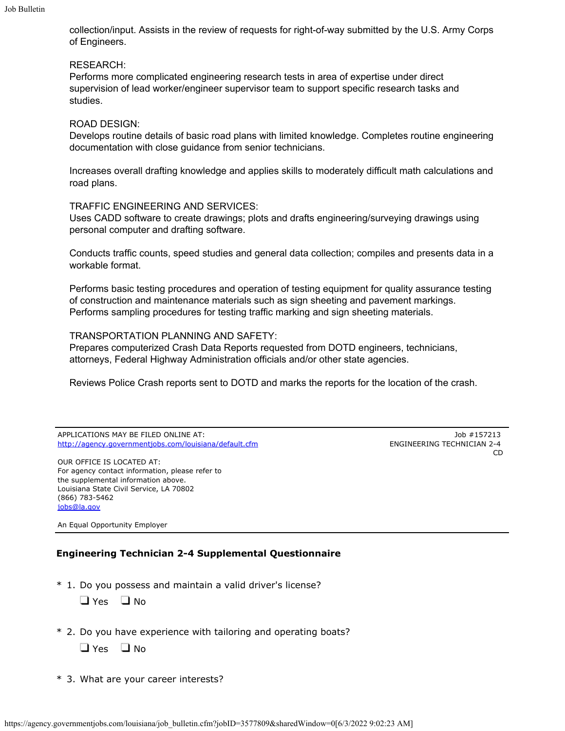collection/input. Assists in the review of requests for right-of-way submitted by the U.S. Army Corps of Engineers.

#### RESEARCH:

Performs more complicated engineering research tests in area of expertise under direct supervision of lead worker/engineer supervisor team to support specific research tasks and studies.

#### ROAD DESIGN:

Develops routine details of basic road plans with limited knowledge. Completes routine engineering documentation with close guidance from senior technicians.

Increases overall drafting knowledge and applies skills to moderately difficult math calculations and road plans.

#### TRAFFIC ENGINEERING AND SERVICES:

Uses CADD software to create drawings; plots and drafts engineering/surveying drawings using personal computer and drafting software.

Conducts traffic counts, speed studies and general data collection; compiles and presents data in a workable format.

Performs basic testing procedures and operation of testing equipment for quality assurance testing of construction and maintenance materials such as sign sheeting and pavement markings. Performs sampling procedures for testing traffic marking and sign sheeting materials.

#### TRANSPORTATION PLANNING AND SAFETY:

Prepares computerized Crash Data Reports requested from DOTD engineers, technicians, attorneys, Federal Highway Administration officials and/or other state agencies.

Reviews Police Crash reports sent to DOTD and marks the reports for the location of the crash.

APPLICATIONS MAY BE FILED ONLINE AT: <http://agency.governmentjobs.com/louisiana/default.cfm>

OUR OFFICE IS LOCATED AT: For agency contact information, please refer to the supplemental information above. Louisiana State Civil Service, LA 70802 (866) 783-5462 [jobs@la.gov](mailto:jobs@la.gov)

Job #157213 ENGINEERING TECHNICIAN 2-4 CD

An Equal Opportunity Employer

# **Engineering Technician 2-4 Supplemental Questionnaire**

\* 1. Do you possess and maintain a valid driver's license?

 $\Box$  Yes  $\Box$  No

\* 2. Do you have experience with tailoring and operating boats?

 $\Box$  Yes  $\Box$  No

\* 3. What are your career interests?